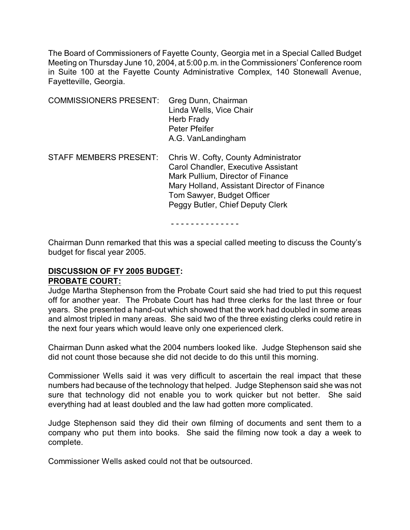The Board of Commissioners of Fayette County, Georgia met in a Special Called Budget Meeting on Thursday June 10, 2004, at 5:00 p.m. in the Commissioners' Conference room in Suite 100 at the Fayette County Administrative Complex, 140 Stonewall Avenue, Fayetteville, Georgia.

| <b>COMMISSIONERS PRESENT:</b> | Greg Dunn, Chairman<br>Linda Wells, Vice Chair<br>Herb Frady<br>Peter Pfeifer<br>A.G. VanLandingham                                                                                                                               |
|-------------------------------|-----------------------------------------------------------------------------------------------------------------------------------------------------------------------------------------------------------------------------------|
| <b>STAFF MEMBERS PRESENT:</b> | Chris W. Cofty, County Administrator<br>Carol Chandler, Executive Assistant<br>Mark Pullium, Director of Finance<br>Mary Holland, Assistant Director of Finance<br>Tom Sawyer, Budget Officer<br>Peggy Butler, Chief Deputy Clerk |

- - - - - - - - - - - - - -

Chairman Dunn remarked that this was a special called meeting to discuss the County's budget for fiscal year 2005.

# **DISCUSSION OF FY 2005 BUDGET: PROBATE COURT:**

Judge Martha Stephenson from the Probate Court said she had tried to put this request off for another year. The Probate Court has had three clerks for the last three or four years. She presented a hand-out which showed that the work had doubled in some areas and almost tripled in many areas. She said two of the three existing clerks could retire in the next four years which would leave only one experienced clerk.

Chairman Dunn asked what the 2004 numbers looked like. Judge Stephenson said she did not count those because she did not decide to do this until this morning.

Commissioner Wells said it was very difficult to ascertain the real impact that these numbers had because of the technology that helped. Judge Stephenson said she was not sure that technology did not enable you to work quicker but not better. She said everything had at least doubled and the law had gotten more complicated.

Judge Stephenson said they did their own filming of documents and sent them to a company who put them into books. She said the filming now took a day a week to complete.

Commissioner Wells asked could not that be outsourced.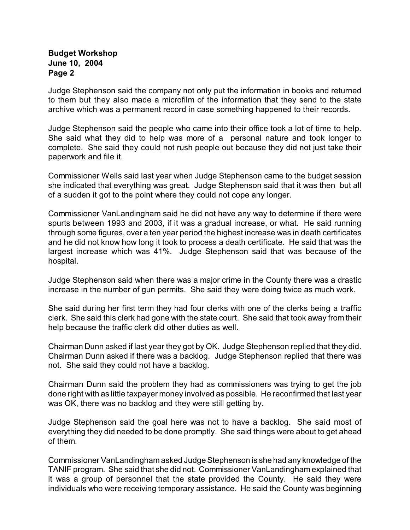Judge Stephenson said the company not only put the information in books and returned to them but they also made a microfilm of the information that they send to the state archive which was a permanent record in case something happened to their records.

Judge Stephenson said the people who came into their office took a lot of time to help. She said what they did to help was more of a personal nature and took longer to complete. She said they could not rush people out because they did not just take their paperwork and file it.

Commissioner Wells said last year when Judge Stephenson came to the budget session she indicated that everything was great. Judge Stephenson said that it was then but all of a sudden it got to the point where they could not cope any longer.

Commissioner VanLandingham said he did not have any way to determine if there were spurts between 1993 and 2003, if it was a gradual increase, or what. He said running through some figures, over a ten year period the highest increase was in death certificates and he did not know how long it took to process a death certificate. He said that was the largest increase which was 41%. Judge Stephenson said that was because of the hospital.

Judge Stephenson said when there was a major crime in the County there was a drastic increase in the number of gun permits. She said they were doing twice as much work.

She said during her first term they had four clerks with one of the clerks being a traffic clerk. She said this clerk had gone with the state court. She said that took away from their help because the traffic clerk did other duties as well.

Chairman Dunn asked if last year they got by OK. Judge Stephenson replied that they did. Chairman Dunn asked if there was a backlog. Judge Stephenson replied that there was not. She said they could not have a backlog.

Chairman Dunn said the problem they had as commissioners was trying to get the job done right with as little taxpayer money involved as possible. He reconfirmed that last year was OK, there was no backlog and they were still getting by.

Judge Stephenson said the goal here was not to have a backlog. She said most of everything they did needed to be done promptly. She said things were about to get ahead of them.

Commissioner VanLandingham asked Judge Stephenson is she had any knowledge of the TANIF program. She said that she did not. Commissioner VanLandingham explained that it was a group of personnel that the state provided the County. He said they were individuals who were receiving temporary assistance. He said the County was beginning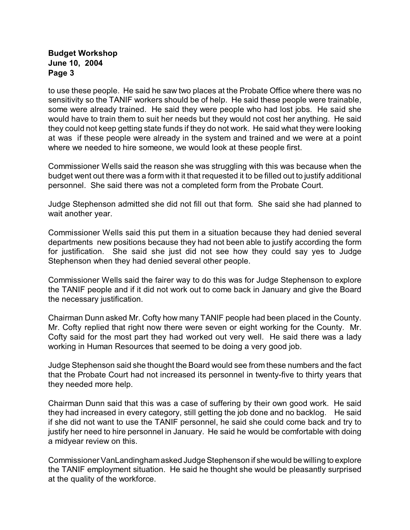to use these people. He said he saw two places at the Probate Office where there was no sensitivity so the TANIF workers should be of help. He said these people were trainable, some were already trained. He said they were people who had lost jobs. He said she would have to train them to suit her needs but they would not cost her anything. He said they could not keep getting state funds if they do not work. He said what they were looking at was if these people were already in the system and trained and we were at a point where we needed to hire someone, we would look at these people first.

Commissioner Wells said the reason she was struggling with this was because when the budget went out there was a form with it that requested it to be filled out to justify additional personnel. She said there was not a completed form from the Probate Court.

Judge Stephenson admitted she did not fill out that form. She said she had planned to wait another year.

Commissioner Wells said this put them in a situation because they had denied several departments new positions because they had not been able to justify according the form for justification. She said she just did not see how they could say yes to Judge Stephenson when they had denied several other people.

Commissioner Wells said the fairer way to do this was for Judge Stephenson to explore the TANIF people and if it did not work out to come back in January and give the Board the necessary justification.

Chairman Dunn asked Mr. Cofty how many TANIF people had been placed in the County. Mr. Cofty replied that right now there were seven or eight working for the County. Mr. Cofty said for the most part they had worked out very well. He said there was a lady working in Human Resources that seemed to be doing a very good job.

Judge Stephenson said she thought the Board would see from these numbers and the fact that the Probate Court had not increased its personnel in twenty-five to thirty years that they needed more help.

Chairman Dunn said that this was a case of suffering by their own good work. He said they had increased in every category, still getting the job done and no backlog. He said if she did not want to use the TANIF personnel, he said she could come back and try to justify her need to hire personnel in January. He said he would be comfortable with doing a midyear review on this.

Commissioner VanLandingham asked Judge Stephenson if she would be willing to explore the TANIF employment situation. He said he thought she would be pleasantly surprised at the quality of the workforce.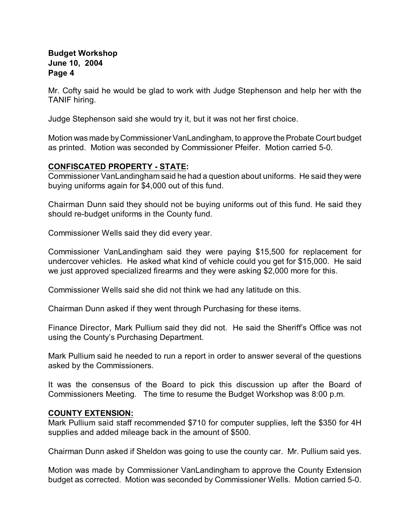Mr. Cofty said he would be glad to work with Judge Stephenson and help her with the TANIF hiring.

Judge Stephenson said she would try it, but it was not her first choice.

Motion was made by Commissioner VanLandingham, to approve the Probate Court budget as printed. Motion was seconded by Commissioner Pfeifer. Motion carried 5-0.

## **CONFISCATED PROPERTY - STATE:**

Commissioner VanLandingham said he had a question about uniforms. He said they were buying uniforms again for \$4,000 out of this fund.

Chairman Dunn said they should not be buying uniforms out of this fund. He said they should re-budget uniforms in the County fund.

Commissioner Wells said they did every year.

Commissioner VanLandingham said they were paying \$15,500 for replacement for undercover vehicles. He asked what kind of vehicle could you get for \$15,000. He said we just approved specialized firearms and they were asking \$2,000 more for this.

Commissioner Wells said she did not think we had any latitude on this.

Chairman Dunn asked if they went through Purchasing for these items.

Finance Director, Mark Pullium said they did not. He said the Sheriff's Office was not using the County's Purchasing Department.

Mark Pullium said he needed to run a report in order to answer several of the questions asked by the Commissioners.

It was the consensus of the Board to pick this discussion up after the Board of Commissioners Meeting. The time to resume the Budget Workshop was 8:00 p.m.

## **COUNTY EXTENSION:**

Mark Pullium said staff recommended \$710 for computer supplies, left the \$350 for 4H supplies and added mileage back in the amount of \$500.

Chairman Dunn asked if Sheldon was going to use the county car. Mr. Pullium said yes.

Motion was made by Commissioner VanLandingham to approve the County Extension budget as corrected. Motion was seconded by Commissioner Wells. Motion carried 5-0.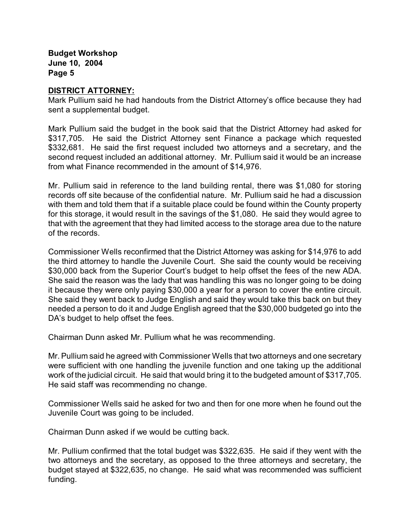#### **DISTRICT ATTORNEY:**

Mark Pullium said he had handouts from the District Attorney's office because they had sent a supplemental budget.

Mark Pullium said the budget in the book said that the District Attorney had asked for \$317,705. He said the District Attorney sent Finance a package which requested \$332,681. He said the first request included two attorneys and a secretary, and the second request included an additional attorney. Mr. Pullium said it would be an increase from what Finance recommended in the amount of \$14,976.

Mr. Pullium said in reference to the land building rental, there was \$1,080 for storing records off site because of the confidential nature. Mr. Pullium said he had a discussion with them and told them that if a suitable place could be found within the County property for this storage, it would result in the savings of the \$1,080. He said they would agree to that with the agreement that they had limited access to the storage area due to the nature of the records.

Commissioner Wells reconfirmed that the District Attorney was asking for \$14,976 to add the third attorney to handle the Juvenile Court. She said the county would be receiving \$30,000 back from the Superior Court's budget to help offset the fees of the new ADA. She said the reason was the lady that was handling this was no longer going to be doing it because they were only paying \$30,000 a year for a person to cover the entire circuit. She said they went back to Judge English and said they would take this back on but they needed a person to do it and Judge English agreed that the \$30,000 budgeted go into the DA's budget to help offset the fees.

Chairman Dunn asked Mr. Pullium what he was recommending.

Mr. Pullium said he agreed with Commissioner Wells that two attorneys and one secretary were sufficient with one handling the juvenile function and one taking up the additional work of the judicial circuit. He said that would bring it to the budgeted amount of \$317,705. He said staff was recommending no change.

Commissioner Wells said he asked for two and then for one more when he found out the Juvenile Court was going to be included.

Chairman Dunn asked if we would be cutting back.

Mr. Pullium confirmed that the total budget was \$322,635. He said if they went with the two attorneys and the secretary, as opposed to the three attorneys and secretary, the budget stayed at \$322,635, no change. He said what was recommended was sufficient funding.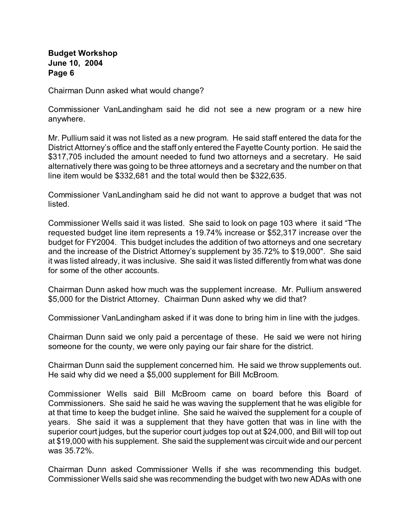Chairman Dunn asked what would change?

Commissioner VanLandingham said he did not see a new program or a new hire anywhere.

Mr. Pullium said it was not listed as a new program. He said staff entered the data for the District Attorney's office and the staff only entered the Fayette County portion. He said the \$317,705 included the amount needed to fund two attorneys and a secretary. He said alternatively there was going to be three attorneys and a secretary and the number on that line item would be \$332,681 and the total would then be \$322,635.

Commissioner VanLandingham said he did not want to approve a budget that was not listed.

Commissioner Wells said it was listed. She said to look on page 103 where it said "The requested budget line item represents a 19.74% increase or \$52,317 increase over the budget for FY2004. This budget includes the addition of two attorneys and one secretary and the increase of the District Attorney's supplement by 35.72% to \$19,000". She said it was listed already, it was inclusive. She said it was listed differently from what was done for some of the other accounts.

Chairman Dunn asked how much was the supplement increase. Mr. Pullium answered \$5,000 for the District Attorney. Chairman Dunn asked why we did that?

Commissioner VanLandingham asked if it was done to bring him in line with the judges.

Chairman Dunn said we only paid a percentage of these. He said we were not hiring someone for the county, we were only paying our fair share for the district.

Chairman Dunn said the supplement concerned him. He said we throw supplements out. He said why did we need a \$5,000 supplement for Bill McBroom.

Commissioner Wells said Bill McBroom came on board before this Board of Commissioners. She said he said he was waving the supplement that he was eligible for at that time to keep the budget inline. She said he waived the supplement for a couple of years. She said it was a supplement that they have gotten that was in line with the superior court judges, but the superior court judges top out at \$24,000, and Bill will top out at \$19,000 with his supplement. She said the supplement was circuit wide and our percent was 35.72%.

Chairman Dunn asked Commissioner Wells if she was recommending this budget. Commissioner Wells said she was recommending the budget with two new ADAs with one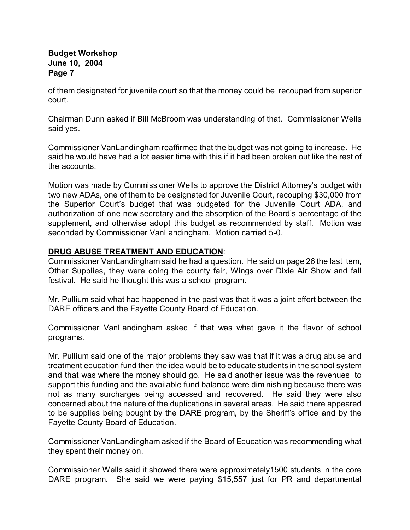of them designated for juvenile court so that the money could be recouped from superior court.

Chairman Dunn asked if Bill McBroom was understanding of that. Commissioner Wells said yes.

Commissioner VanLandingham reaffirmed that the budget was not going to increase. He said he would have had a lot easier time with this if it had been broken out like the rest of the accounts.

Motion was made by Commissioner Wells to approve the District Attorney's budget with two new ADAs, one of them to be designated for Juvenile Court, recouping \$30,000 from the Superior Court's budget that was budgeted for the Juvenile Court ADA, and authorization of one new secretary and the absorption of the Board's percentage of the supplement, and otherwise adopt this budget as recommended by staff. Motion was seconded by Commissioner VanLandingham. Motion carried 5-0.

## **DRUG ABUSE TREATMENT AND EDUCATION**:

Commissioner VanLandingham said he had a question. He said on page 26 the last item, Other Supplies, they were doing the county fair, Wings over Dixie Air Show and fall festival. He said he thought this was a school program.

Mr. Pullium said what had happened in the past was that it was a joint effort between the DARE officers and the Fayette County Board of Education.

Commissioner VanLandingham asked if that was what gave it the flavor of school programs.

Mr. Pullium said one of the major problems they saw was that if it was a drug abuse and treatment education fund then the idea would be to educate students in the school system and that was where the money should go. He said another issue was the revenues to support this funding and the available fund balance were diminishing because there was not as many surcharges being accessed and recovered. He said they were also concerned about the nature of the duplications in several areas. He said there appeared to be supplies being bought by the DARE program, by the Sheriff's office and by the Fayette County Board of Education.

Commissioner VanLandingham asked if the Board of Education was recommending what they spent their money on.

Commissioner Wells said it showed there were approximately1500 students in the core DARE program. She said we were paying \$15,557 just for PR and departmental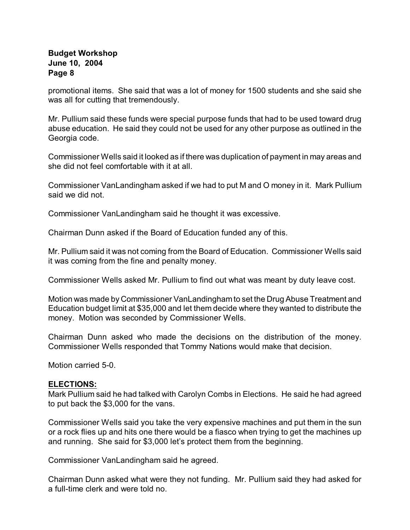promotional items. She said that was a lot of money for 1500 students and she said she was all for cutting that tremendously.

Mr. Pullium said these funds were special purpose funds that had to be used toward drug abuse education. He said they could not be used for any other purpose as outlined in the Georgia code.

Commissioner Wells said it looked as if there was duplication of payment in may areas and she did not feel comfortable with it at all.

Commissioner VanLandingham asked if we had to put M and O money in it. Mark Pullium said we did not.

Commissioner VanLandingham said he thought it was excessive.

Chairman Dunn asked if the Board of Education funded any of this.

Mr. Pullium said it was not coming from the Board of Education. Commissioner Wells said it was coming from the fine and penalty money.

Commissioner Wells asked Mr. Pullium to find out what was meant by duty leave cost.

Motion was made by Commissioner VanLandingham to set the Drug Abuse Treatment and Education budget limit at \$35,000 and let them decide where they wanted to distribute the money. Motion was seconded by Commissioner Wells.

Chairman Dunn asked who made the decisions on the distribution of the money. Commissioner Wells responded that Tommy Nations would make that decision.

Motion carried 5-0.

#### **ELECTIONS:**

Mark Pullium said he had talked with Carolyn Combs in Elections. He said he had agreed to put back the \$3,000 for the vans.

Commissioner Wells said you take the very expensive machines and put them in the sun or a rock flies up and hits one there would be a fiasco when trying to get the machines up and running. She said for \$3,000 let's protect them from the beginning.

Commissioner VanLandingham said he agreed.

Chairman Dunn asked what were they not funding. Mr. Pullium said they had asked for a full-time clerk and were told no.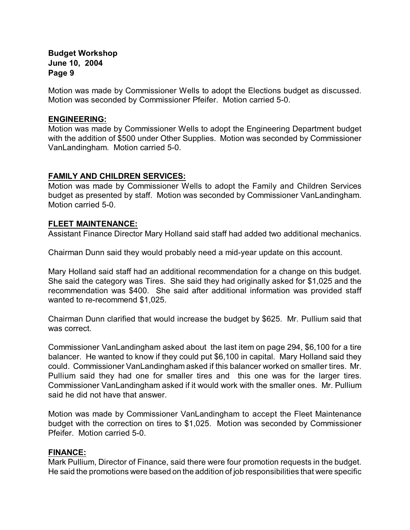Motion was made by Commissioner Wells to adopt the Elections budget as discussed. Motion was seconded by Commissioner Pfeifer. Motion carried 5-0.

#### **ENGINEERING:**

Motion was made by Commissioner Wells to adopt the Engineering Department budget with the addition of \$500 under Other Supplies. Motion was seconded by Commissioner VanLandingham. Motion carried 5-0.

## **FAMILY AND CHILDREN SERVICES:**

Motion was made by Commissioner Wells to adopt the Family and Children Services budget as presented by staff. Motion was seconded by Commissioner VanLandingham. Motion carried 5-0.

## **FLEET MAINTENANCE:**

Assistant Finance Director Mary Holland said staff had added two additional mechanics.

Chairman Dunn said they would probably need a mid-year update on this account.

Mary Holland said staff had an additional recommendation for a change on this budget. She said the category was Tires. She said they had originally asked for \$1,025 and the recommendation was \$400. She said after additional information was provided staff wanted to re-recommend \$1,025.

Chairman Dunn clarified that would increase the budget by \$625. Mr. Pullium said that was correct.

Commissioner VanLandingham asked about the last item on page 294, \$6,100 for a tire balancer. He wanted to know if they could put \$6,100 in capital. Mary Holland said they could. Commissioner VanLandingham asked if this balancer worked on smaller tires. Mr. Pullium said they had one for smaller tires and this one was for the larger tires. Commissioner VanLandingham asked if it would work with the smaller ones. Mr. Pullium said he did not have that answer.

Motion was made by Commissioner VanLandingham to accept the Fleet Maintenance budget with the correction on tires to \$1,025. Motion was seconded by Commissioner Pfeifer. Motion carried 5-0.

## **FINANCE:**

Mark Pullium, Director of Finance, said there were four promotion requests in the budget. He said the promotions were based on the addition of job responsibilities that were specific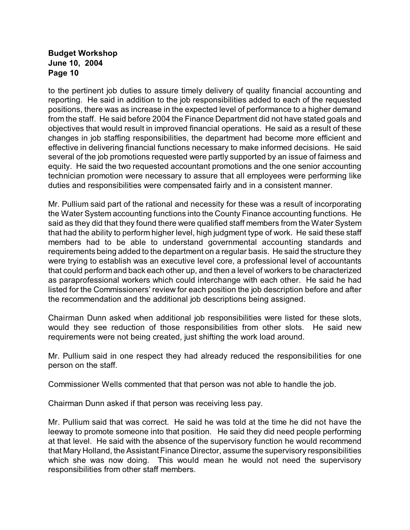to the pertinent job duties to assure timely delivery of quality financial accounting and reporting. He said in addition to the job responsibilities added to each of the requested positions, there was as increase in the expected level of performance to a higher demand from the staff. He said before 2004 the Finance Department did not have stated goals and objectives that would result in improved financial operations. He said as a result of these changes in job staffing responsibilities, the department had become more efficient and effective in delivering financial functions necessary to make informed decisions. He said several of the job promotions requested were partly supported by an issue of fairness and equity. He said the two requested accountant promotions and the one senior accounting technician promotion were necessary to assure that all employees were performing like duties and responsibilities were compensated fairly and in a consistent manner.

Mr. Pullium said part of the rational and necessity for these was a result of incorporating the Water System accounting functions into the County Finance accounting functions. He said as they did that they found there were qualified staff members from the Water System that had the ability to perform higher level, high judgment type of work. He said these staff members had to be able to understand governmental accounting standards and requirements being added to the department on a regular basis. He said the structure they were trying to establish was an executive level core, a professional level of accountants that could perform and back each other up, and then a level of workers to be characterized as paraprofessional workers which could interchange with each other. He said he had listed for the Commissioners' review for each position the job description before and after the recommendation and the additional job descriptions being assigned.

Chairman Dunn asked when additional job responsibilities were listed for these slots, would they see reduction of those responsibilities from other slots. He said new requirements were not being created, just shifting the work load around.

Mr. Pullium said in one respect they had already reduced the responsibilities for one person on the staff.

Commissioner Wells commented that that person was not able to handle the job.

Chairman Dunn asked if that person was receiving less pay.

Mr. Pullium said that was correct. He said he was told at the time he did not have the leeway to promote someone into that position. He said they did need people performing at that level. He said with the absence of the supervisory function he would recommend that Mary Holland, the Assistant Finance Director, assume the supervisory responsibilities which she was now doing. This would mean he would not need the supervisory responsibilities from other staff members.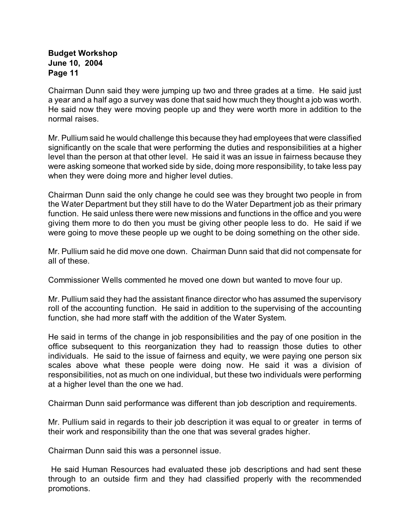Chairman Dunn said they were jumping up two and three grades at a time. He said just a year and a half ago a survey was done that said how much they thought a job was worth. He said now they were moving people up and they were worth more in addition to the normal raises.

Mr. Pullium said he would challenge this because they had employees that were classified significantly on the scale that were performing the duties and responsibilities at a higher level than the person at that other level. He said it was an issue in fairness because they were asking someone that worked side by side, doing more responsibility, to take less pay when they were doing more and higher level duties.

Chairman Dunn said the only change he could see was they brought two people in from the Water Department but they still have to do the Water Department job as their primary function. He said unless there were new missions and functions in the office and you were giving them more to do then you must be giving other people less to do. He said if we were going to move these people up we ought to be doing something on the other side.

Mr. Pullium said he did move one down. Chairman Dunn said that did not compensate for all of these.

Commissioner Wells commented he moved one down but wanted to move four up.

Mr. Pullium said they had the assistant finance director who has assumed the supervisory roll of the accounting function. He said in addition to the supervising of the accounting function, she had more staff with the addition of the Water System.

He said in terms of the change in job responsibilities and the pay of one position in the office subsequent to this reorganization they had to reassign those duties to other individuals. He said to the issue of fairness and equity, we were paying one person six scales above what these people were doing now. He said it was a division of responsibilities, not as much on one individual, but these two individuals were performing at a higher level than the one we had.

Chairman Dunn said performance was different than job description and requirements.

Mr. Pullium said in regards to their job description it was equal to or greater in terms of their work and responsibility than the one that was several grades higher.

Chairman Dunn said this was a personnel issue.

 He said Human Resources had evaluated these job descriptions and had sent these through to an outside firm and they had classified properly with the recommended promotions.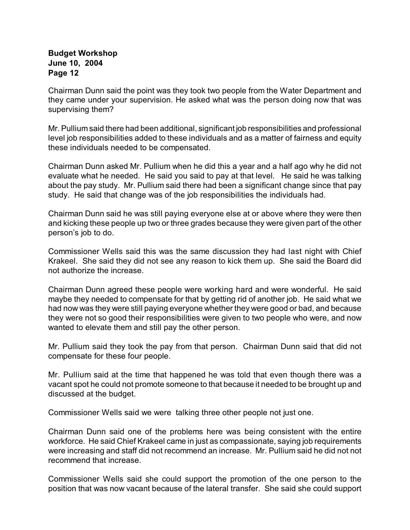Chairman Dunn said the point was they took two people from the Water Department and they came under your supervision. He asked what was the person doing now that was supervising them?

Mr. Pullium said there had been additional, significant job responsibilities and professional level job responsibilities added to these individuals and as a matter of fairness and equity these individuals needed to be compensated.

Chairman Dunn asked Mr. Pullium when he did this a year and a half ago why he did not evaluate what he needed. He said you said to pay at that level. He said he was talking about the pay study. Mr. Pullium said there had been a significant change since that pay study. He said that change was of the job responsibilities the individuals had.

Chairman Dunn said he was still paying everyone else at or above where they were then and kicking these people up two or three grades because they were given part of the other person's job to do.

Commissioner Wells said this was the same discussion they had last night with Chief Krakeel. She said they did not see any reason to kick them up. She said the Board did not authorize the increase.

Chairman Dunn agreed these people were working hard and were wonderful. He said maybe they needed to compensate for that by getting rid of another job. He said what we had now was they were still paying everyone whether they were good or bad, and because they were not so good their responsibilities were given to two people who were, and now wanted to elevate them and still pay the other person.

Mr. Pullium said they took the pay from that person. Chairman Dunn said that did not compensate for these four people.

Mr. Pullium said at the time that happened he was told that even though there was a vacant spot he could not promote someone to that because it needed to be brought up and discussed at the budget.

Commissioner Wells said we were talking three other people not just one.

Chairman Dunn said one of the problems here was being consistent with the entire workforce. He said Chief Krakeel came in just as compassionate, saying job requirements were increasing and staff did not recommend an increase. Mr. Pullium said he did not not recommend that increase.

Commissioner Wells said she could support the promotion of the one person to the position that was now vacant because of the lateral transfer. She said she could support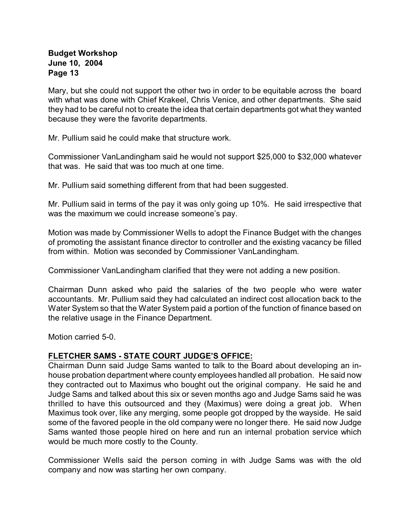Mary, but she could not support the other two in order to be equitable across the board with what was done with Chief Krakeel, Chris Venice, and other departments. She said they had to be careful not to create the idea that certain departments got what they wanted because they were the favorite departments.

Mr. Pullium said he could make that structure work.

Commissioner VanLandingham said he would not support \$25,000 to \$32,000 whatever that was. He said that was too much at one time.

Mr. Pullium said something different from that had been suggested.

Mr. Pullium said in terms of the pay it was only going up 10%. He said irrespective that was the maximum we could increase someone's pay.

Motion was made by Commissioner Wells to adopt the Finance Budget with the changes of promoting the assistant finance director to controller and the existing vacancy be filled from within. Motion was seconded by Commissioner VanLandingham.

Commissioner VanLandingham clarified that they were not adding a new position.

Chairman Dunn asked who paid the salaries of the two people who were water accountants. Mr. Pullium said they had calculated an indirect cost allocation back to the Water System so that the Water System paid a portion of the function of finance based on the relative usage in the Finance Department.

Motion carried 5-0.

## **FLETCHER SAMS - STATE COURT JUDGE'S OFFICE:**

Chairman Dunn said Judge Sams wanted to talk to the Board about developing an inhouse probation department where county employees handled all probation. He said now they contracted out to Maximus who bought out the original company. He said he and Judge Sams and talked about this six or seven months ago and Judge Sams said he was thrilled to have this outsourced and they (Maximus) were doing a great job. When Maximus took over, like any merging, some people got dropped by the wayside. He said some of the favored people in the old company were no longer there. He said now Judge Sams wanted those people hired on here and run an internal probation service which would be much more costly to the County.

Commissioner Wells said the person coming in with Judge Sams was with the old company and now was starting her own company.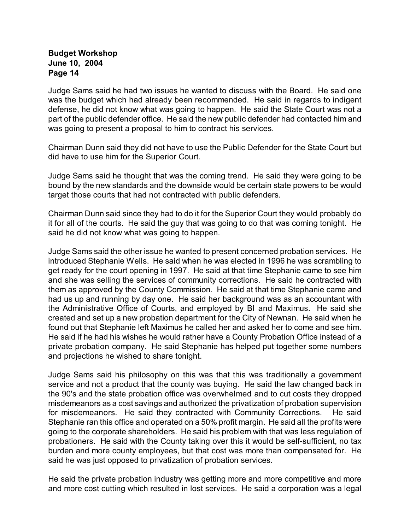Judge Sams said he had two issues he wanted to discuss with the Board. He said one was the budget which had already been recommended. He said in regards to indigent defense, he did not know what was going to happen. He said the State Court was not a part of the public defender office. He said the new public defender had contacted him and was going to present a proposal to him to contract his services.

Chairman Dunn said they did not have to use the Public Defender for the State Court but did have to use him for the Superior Court.

Judge Sams said he thought that was the coming trend. He said they were going to be bound by the new standards and the downside would be certain state powers to be would target those courts that had not contracted with public defenders.

Chairman Dunn said since they had to do it for the Superior Court they would probably do it for all of the courts. He said the guy that was going to do that was coming tonight. He said he did not know what was going to happen.

Judge Sams said the other issue he wanted to present concerned probation services. He introduced Stephanie Wells. He said when he was elected in 1996 he was scrambling to get ready for the court opening in 1997. He said at that time Stephanie came to see him and she was selling the services of community corrections. He said he contracted with them as approved by the County Commission. He said at that time Stephanie came and had us up and running by day one. He said her background was as an accountant with the Administrative Office of Courts, and employed by BI and Maximus. He said she created and set up a new probation department for the City of Newnan. He said when he found out that Stephanie left Maximus he called her and asked her to come and see him. He said if he had his wishes he would rather have a County Probation Office instead of a private probation company. He said Stephanie has helped put together some numbers and projections he wished to share tonight.

Judge Sams said his philosophy on this was that this was traditionally a government service and not a product that the county was buying. He said the law changed back in the 90's and the state probation office was overwhelmed and to cut costs they dropped misdemeanors as a cost savings and authorized the privatization of probation supervision for misdemeanors. He said they contracted with Community Corrections. He said Stephanie ran this office and operated on a 50% profit margin. He said all the profits were going to the corporate shareholders. He said his problem with that was less regulation of probationers. He said with the County taking over this it would be self-sufficient, no tax burden and more county employees, but that cost was more than compensated for. He said he was just opposed to privatization of probation services.

He said the private probation industry was getting more and more competitive and more and more cost cutting which resulted in lost services. He said a corporation was a legal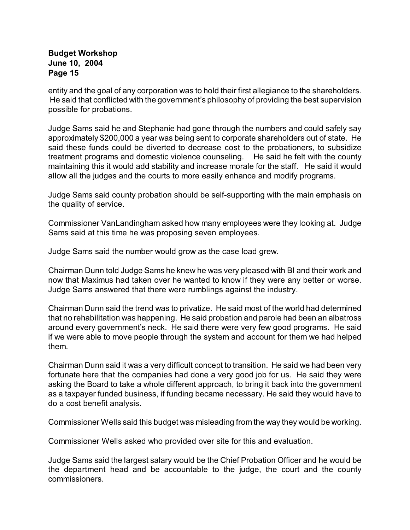entity and the goal of any corporation was to hold their first allegiance to the shareholders. He said that conflicted with the government's philosophy of providing the best supervision possible for probations.

Judge Sams said he and Stephanie had gone through the numbers and could safely say approximately \$200,000 a year was being sent to corporate shareholders out of state. He said these funds could be diverted to decrease cost to the probationers, to subsidize treatment programs and domestic violence counseling. He said he felt with the county maintaining this it would add stability and increase morale for the staff. He said it would allow all the judges and the courts to more easily enhance and modify programs.

Judge Sams said county probation should be self-supporting with the main emphasis on the quality of service.

Commissioner VanLandingham asked how many employees were they looking at. Judge Sams said at this time he was proposing seven employees.

Judge Sams said the number would grow as the case load grew.

Chairman Dunn told Judge Sams he knew he was very pleased with BI and their work and now that Maximus had taken over he wanted to know if they were any better or worse. Judge Sams answered that there were rumblings against the industry.

Chairman Dunn said the trend was to privatize. He said most of the world had determined that no rehabilitation was happening. He said probation and parole had been an albatross around every government's neck. He said there were very few good programs. He said if we were able to move people through the system and account for them we had helped them.

Chairman Dunn said it was a very difficult concept to transition. He said we had been very fortunate here that the companies had done a very good job for us. He said they were asking the Board to take a whole different approach, to bring it back into the government as a taxpayer funded business, if funding became necessary. He said they would have to do a cost benefit analysis.

Commissioner Wells said this budget was misleading from the way they would be working.

Commissioner Wells asked who provided over site for this and evaluation.

Judge Sams said the largest salary would be the Chief Probation Officer and he would be the department head and be accountable to the judge, the court and the county commissioners.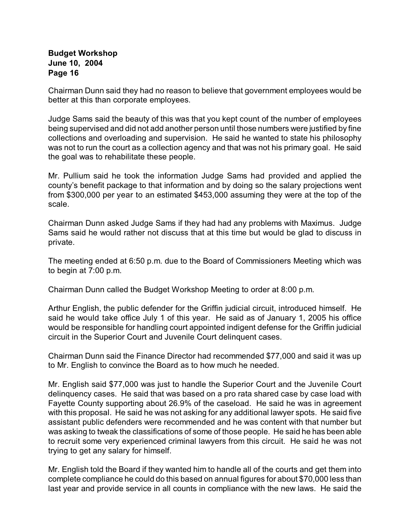Chairman Dunn said they had no reason to believe that government employees would be better at this than corporate employees.

Judge Sams said the beauty of this was that you kept count of the number of employees being supervised and did not add another person until those numbers were justified by fine collections and overloading and supervision. He said he wanted to state his philosophy was not to run the court as a collection agency and that was not his primary goal. He said the goal was to rehabilitate these people.

Mr. Pullium said he took the information Judge Sams had provided and applied the county's benefit package to that information and by doing so the salary projections went from \$300,000 per year to an estimated \$453,000 assuming they were at the top of the scale.

Chairman Dunn asked Judge Sams if they had had any problems with Maximus. Judge Sams said he would rather not discuss that at this time but would be glad to discuss in private.

The meeting ended at 6:50 p.m. due to the Board of Commissioners Meeting which was to begin at 7:00 p.m.

Chairman Dunn called the Budget Workshop Meeting to order at 8:00 p.m.

Arthur English, the public defender for the Griffin judicial circuit, introduced himself. He said he would take office July 1 of this year. He said as of January 1, 2005 his office would be responsible for handling court appointed indigent defense for the Griffin judicial circuit in the Superior Court and Juvenile Court delinquent cases.

Chairman Dunn said the Finance Director had recommended \$77,000 and said it was up to Mr. English to convince the Board as to how much he needed.

Mr. English said \$77,000 was just to handle the Superior Court and the Juvenile Court delinquency cases. He said that was based on a pro rata shared case by case load with Fayette County supporting about 26.9% of the caseload. He said he was in agreement with this proposal. He said he was not asking for any additional lawyer spots. He said five assistant public defenders were recommended and he was content with that number but was asking to tweak the classifications of some of those people. He said he has been able to recruit some very experienced criminal lawyers from this circuit. He said he was not trying to get any salary for himself.

Mr. English told the Board if they wanted him to handle all of the courts and get them into complete compliance he could do this based on annual figures for about \$70,000 less than last year and provide service in all counts in compliance with the new laws. He said the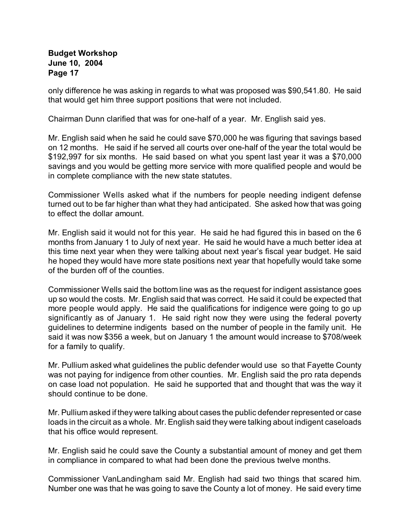only difference he was asking in regards to what was proposed was \$90,541.80. He said that would get him three support positions that were not included.

Chairman Dunn clarified that was for one-half of a year. Mr. English said yes.

Mr. English said when he said he could save \$70,000 he was figuring that savings based on 12 months. He said if he served all courts over one-half of the year the total would be \$192,997 for six months. He said based on what you spent last year it was a \$70,000 savings and you would be getting more service with more qualified people and would be in complete compliance with the new state statutes.

Commissioner Wells asked what if the numbers for people needing indigent defense turned out to be far higher than what they had anticipated. She asked how that was going to effect the dollar amount.

Mr. English said it would not for this year. He said he had figured this in based on the 6 months from January 1 to July of next year. He said he would have a much better idea at this time next year when they were talking about next year's fiscal year budget. He said he hoped they would have more state positions next year that hopefully would take some of the burden off of the counties.

Commissioner Wells said the bottom line was as the request for indigent assistance goes up so would the costs. Mr. English said that was correct. He said it could be expected that more people would apply. He said the qualifications for indigence were going to go up significantly as of January 1. He said right now they were using the federal poverty guidelines to determine indigents based on the number of people in the family unit. He said it was now \$356 a week, but on January 1 the amount would increase to \$708/week for a family to qualify.

Mr. Pullium asked what guidelines the public defender would use so that Fayette County was not paying for indigence from other counties. Mr. English said the pro rata depends on case load not population. He said he supported that and thought that was the way it should continue to be done.

Mr. Pullium asked if they were talking about cases the public defender represented or case loads in the circuit as a whole. Mr. English said they were talking about indigent caseloads that his office would represent.

Mr. English said he could save the County a substantial amount of money and get them in compliance in compared to what had been done the previous twelve months.

Commissioner VanLandingham said Mr. English had said two things that scared him. Number one was that he was going to save the County a lot of money. He said every time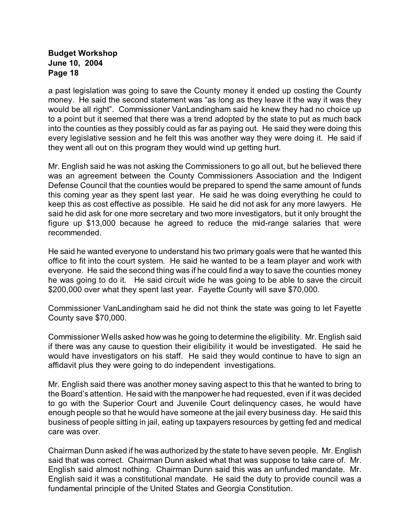a past legislation was going to save the County money it ended up costing the County money. He said the second statement was "as long as they leave it the way it was they would be all right". Commissioner VanLandingham said he knew they had no choice up to a point but it seemed that there was a trend adopted by the state to put as much back into the counties as they possibly could as far as paying out. He said they were doing this every legislative session and he felt this was another way they were doing it. He said if they went all out on this program they would wind up getting hurt.

Mr. English said he was not asking the Commissioners to go all out, but he believed there was an agreement between the County Commissioners Association and the Indigent Defense Council that the counties would be prepared to spend the same amount of funds this coming year as they spent last year. He said he was doing everything he could to keep this as cost effective as possible. He said he did not ask for any more lawyers. He said he did ask for one more secretary and two more investigators, but it only brought the figure up \$13,000 because he agreed to reduce the mid-range salaries that were recommended.

He said he wanted everyone to understand his two primary goals were that he wanted this office to fit into the court system. He said he wanted to be a team player and work with everyone. He said the second thing was if he could find a way to save the counties money he was going to do it. He said circuit wide he was going to be able to save the circuit \$200,000 over what they spent last year. Fayette County will save \$70,000.

Commissioner VanLandingham said he did not think the state was going to let Fayette County save \$70,000.

Commissioner Wells asked how was he going to determine the eligibility. Mr. English said if there was any cause to question their eligibility it would be investigated. He said he would have investigators on his staff. He said they would continue to have to sign an affidavit plus they were going to do independent investigations.

Mr. English said there was another money saving aspect to this that he wanted to bring to the Board's attention. He said with the manpower he had requested, even if it was decided to go with the Superior Court and Juvenile Court delinquency cases, he would have enough people so that he would have someone at the jail every business day. He said this business of people sitting in jail, eating up taxpayers resources by getting fed and medical care was over.

Chairman Dunn asked if he was authorized by the state to have seven people. Mr. English said that was correct. Chairman Dunn asked what that was suppose to take care of. Mr. English said almost nothing. Chairman Dunn said this was an unfunded mandate. Mr. English said it was a constitutional mandate. He said the duty to provide council was a fundamental principle of the United States and Georgia Constitution.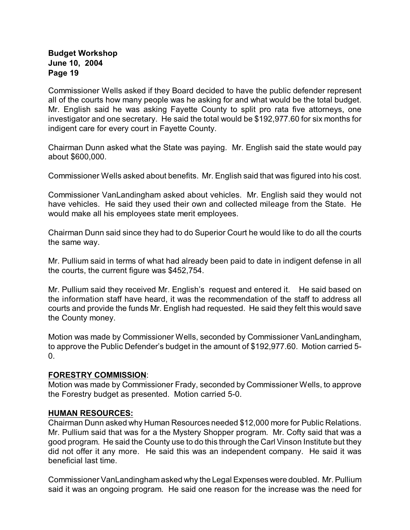Commissioner Wells asked if they Board decided to have the public defender represent all of the courts how many people was he asking for and what would be the total budget. Mr. English said he was asking Fayette County to split pro rata five attorneys, one investigator and one secretary. He said the total would be \$192,977.60 for six months for indigent care for every court in Fayette County.

Chairman Dunn asked what the State was paying. Mr. English said the state would pay about \$600,000.

Commissioner Wells asked about benefits. Mr. English said that was figured into his cost.

Commissioner VanLandingham asked about vehicles. Mr. English said they would not have vehicles. He said they used their own and collected mileage from the State. He would make all his employees state merit employees.

Chairman Dunn said since they had to do Superior Court he would like to do all the courts the same way.

Mr. Pullium said in terms of what had already been paid to date in indigent defense in all the courts, the current figure was \$452,754.

Mr. Pullium said they received Mr. English's request and entered it. He said based on the information staff have heard, it was the recommendation of the staff to address all courts and provide the funds Mr. English had requested. He said they felt this would save the County money.

Motion was made by Commissioner Wells, seconded by Commissioner VanLandingham, to approve the Public Defender's budget in the amount of \$192,977.60. Motion carried 5-  $0<sub>-</sub>$ 

## **FORESTRY COMMISSION**:

Motion was made by Commissioner Frady, seconded by Commissioner Wells, to approve the Forestry budget as presented. Motion carried 5-0.

## **HUMAN RESOURCES:**

Chairman Dunn asked why Human Resources needed \$12,000 more for Public Relations. Mr. Pullium said that was for a the Mystery Shopper program. Mr. Cofty said that was a good program. He said the County use to do this through the Carl Vinson Institute but they did not offer it any more. He said this was an independent company. He said it was beneficial last time.

Commissioner VanLandingham asked why the Legal Expenses were doubled. Mr. Pullium said it was an ongoing program. He said one reason for the increase was the need for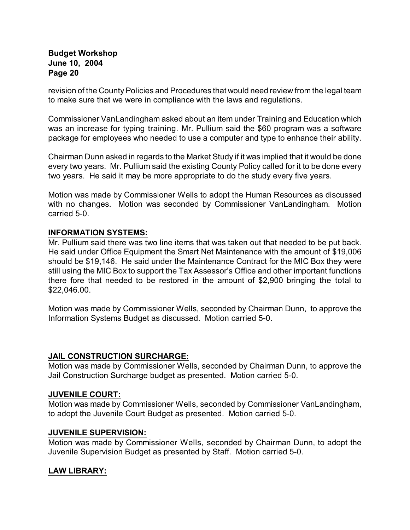revision of the County Policies and Procedures that would need review from the legal team to make sure that we were in compliance with the laws and regulations.

Commissioner VanLandingham asked about an item under Training and Education which was an increase for typing training. Mr. Pullium said the \$60 program was a software package for employees who needed to use a computer and type to enhance their ability.

Chairman Dunn asked in regards to the Market Study if it was implied that it would be done every two years. Mr. Pullium said the existing County Policy called for it to be done every two years. He said it may be more appropriate to do the study every five years.

Motion was made by Commissioner Wells to adopt the Human Resources as discussed with no changes. Motion was seconded by Commissioner VanLandingham. Motion carried 5-0.

## **INFORMATION SYSTEMS:**

Mr. Pullium said there was two line items that was taken out that needed to be put back. He said under Office Equipment the Smart Net Maintenance with the amount of \$19,006 should be \$19,146. He said under the Maintenance Contract for the MIC Box they were still using the MIC Box to support the Tax Assessor's Office and other important functions there fore that needed to be restored in the amount of \$2,900 bringing the total to \$22,046.00.

Motion was made by Commissioner Wells, seconded by Chairman Dunn, to approve the Information Systems Budget as discussed. Motion carried 5-0.

## **JAIL CONSTRUCTION SURCHARGE:**

Motion was made by Commissioner Wells, seconded by Chairman Dunn, to approve the Jail Construction Surcharge budget as presented. Motion carried 5-0.

## **JUVENILE COURT:**

Motion was made by Commissioner Wells, seconded by Commissioner VanLandingham, to adopt the Juvenile Court Budget as presented. Motion carried 5-0.

#### **JUVENILE SUPERVISION:**

Motion was made by Commissioner Wells, seconded by Chairman Dunn, to adopt the Juvenile Supervision Budget as presented by Staff. Motion carried 5-0.

## **LAW LIBRARY:**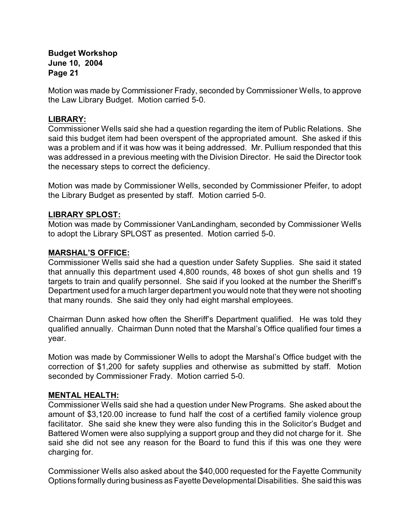Motion was made by Commissioner Frady, seconded by Commissioner Wells, to approve the Law Library Budget. Motion carried 5-0.

## **LIBRARY:**

Commissioner Wells said she had a question regarding the item of Public Relations. She said this budget item had been overspent of the appropriated amount. She asked if this was a problem and if it was how was it being addressed. Mr. Pullium responded that this was addressed in a previous meeting with the Division Director. He said the Director took the necessary steps to correct the deficiency.

Motion was made by Commissioner Wells, seconded by Commissioner Pfeifer, to adopt the Library Budget as presented by staff. Motion carried 5-0.

#### **LIBRARY SPLOST:**

Motion was made by Commissioner VanLandingham, seconded by Commissioner Wells to adopt the Library SPLOST as presented. Motion carried 5-0.

#### **MARSHAL'S OFFICE:**

Commissioner Wells said she had a question under Safety Supplies. She said it stated that annually this department used 4,800 rounds, 48 boxes of shot gun shells and 19 targets to train and qualify personnel. She said if you looked at the number the Sheriff's Department used for a much larger department you would note that they were not shooting that many rounds. She said they only had eight marshal employees.

Chairman Dunn asked how often the Sheriff's Department qualified. He was told they qualified annually. Chairman Dunn noted that the Marshal's Office qualified four times a year.

Motion was made by Commissioner Wells to adopt the Marshal's Office budget with the correction of \$1,200 for safety supplies and otherwise as submitted by staff. Motion seconded by Commissioner Frady. Motion carried 5-0.

#### **MENTAL HEALTH:**

Commissioner Wells said she had a question under New Programs. She asked about the amount of \$3,120.00 increase to fund half the cost of a certified family violence group facilitator. She said she knew they were also funding this in the Solicitor's Budget and Battered Women were also supplying a support group and they did not charge for it. She said she did not see any reason for the Board to fund this if this was one they were charging for.

Commissioner Wells also asked about the \$40,000 requested for the Fayette Community Options formally during business as Fayette Developmental Disabilities. She said this was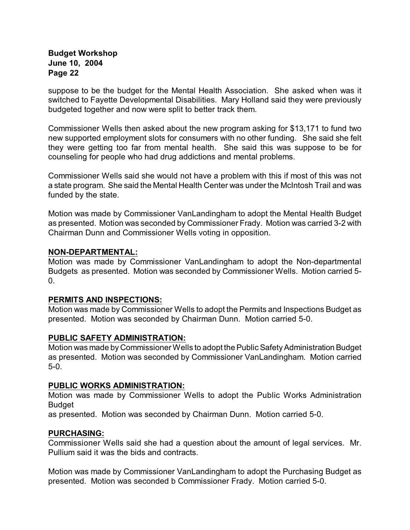suppose to be the budget for the Mental Health Association. She asked when was it switched to Fayette Developmental Disabilities. Mary Holland said they were previously budgeted together and now were split to better track them.

Commissioner Wells then asked about the new program asking for \$13,171 to fund two new supported employment slots for consumers with no other funding. She said she felt they were getting too far from mental health. She said this was suppose to be for counseling for people who had drug addictions and mental problems.

Commissioner Wells said she would not have a problem with this if most of this was not a state program. She said the Mental Health Center was under the McIntosh Trail and was funded by the state.

Motion was made by Commissioner VanLandingham to adopt the Mental Health Budget as presented. Motion was seconded by Commissioner Frady. Motion was carried 3-2 with Chairman Dunn and Commissioner Wells voting in opposition.

## **NON-DEPARTMENTAL:**

Motion was made by Commissioner VanLandingham to adopt the Non-departmental Budgets as presented. Motion was seconded by Commissioner Wells. Motion carried 5-  $0<sub>l</sub>$ 

## **PERMITS AND INSPECTIONS:**

Motion was made by Commissioner Wells to adopt the Permits and Inspections Budget as presented. Motion was seconded by Chairman Dunn. Motion carried 5-0.

## **PUBLIC SAFETY ADMINISTRATION:**

Motion was made by Commissioner Wells to adopt the Public Safety Administration Budget as presented. Motion was seconded by Commissioner VanLandingham. Motion carried 5-0.

## **PUBLIC WORKS ADMINISTRATION:**

Motion was made by Commissioner Wells to adopt the Public Works Administration Budget

as presented. Motion was seconded by Chairman Dunn. Motion carried 5-0.

## **PURCHASING:**

Commissioner Wells said she had a question about the amount of legal services. Mr. Pullium said it was the bids and contracts.

Motion was made by Commissioner VanLandingham to adopt the Purchasing Budget as presented. Motion was seconded b Commissioner Frady. Motion carried 5-0.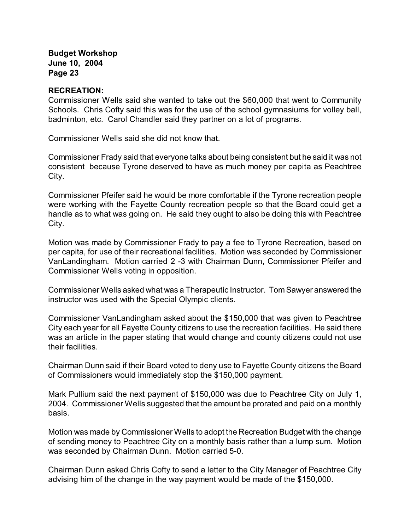#### **RECREATION:**

Commissioner Wells said she wanted to take out the \$60,000 that went to Community Schools. Chris Cofty said this was for the use of the school gymnasiums for volley ball, badminton, etc. Carol Chandler said they partner on a lot of programs.

Commissioner Wells said she did not know that.

Commissioner Frady said that everyone talks about being consistent but he said it was not consistent because Tyrone deserved to have as much money per capita as Peachtree City.

Commissioner Pfeifer said he would be more comfortable if the Tyrone recreation people were working with the Fayette County recreation people so that the Board could get a handle as to what was going on. He said they ought to also be doing this with Peachtree City.

Motion was made by Commissioner Frady to pay a fee to Tyrone Recreation, based on per capita, for use of their recreational facilities. Motion was seconded by Commissioner VanLandingham. Motion carried 2 -3 with Chairman Dunn, Commissioner Pfeifer and Commissioner Wells voting in opposition.

Commissioner Wells asked what was a Therapeutic Instructor. Tom Sawyer answered the instructor was used with the Special Olympic clients.

Commissioner VanLandingham asked about the \$150,000 that was given to Peachtree City each year for all Fayette County citizens to use the recreation facilities. He said there was an article in the paper stating that would change and county citizens could not use their facilities.

Chairman Dunn said if their Board voted to deny use to Fayette County citizens the Board of Commissioners would immediately stop the \$150,000 payment.

Mark Pullium said the next payment of \$150,000 was due to Peachtree City on July 1, 2004. Commissioner Wells suggested that the amount be prorated and paid on a monthly basis.

Motion was made by Commissioner Wells to adopt the Recreation Budget with the change of sending money to Peachtree City on a monthly basis rather than a lump sum. Motion was seconded by Chairman Dunn. Motion carried 5-0.

Chairman Dunn asked Chris Cofty to send a letter to the City Manager of Peachtree City advising him of the change in the way payment would be made of the \$150,000.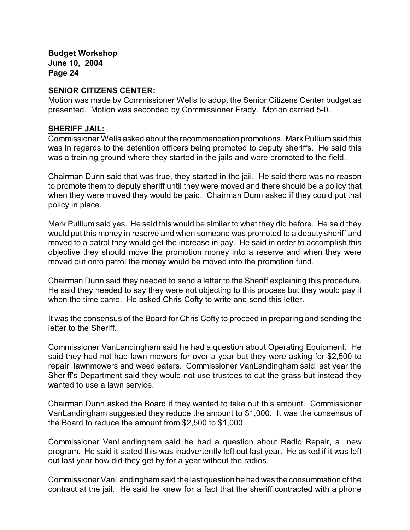#### **SENIOR CITIZENS CENTER:**

Motion was made by Commissioner Wells to adopt the Senior Citizens Center budget as presented. Motion was seconded by Commissioner Frady. Motion carried 5-0.

#### **SHERIFF JAIL:**

Commissioner Wells asked about the recommendation promotions. Mark Pullium said this was in regards to the detention officers being promoted to deputy sheriffs. He said this was a training ground where they started in the jails and were promoted to the field.

Chairman Dunn said that was true, they started in the jail. He said there was no reason to promote them to deputy sheriff until they were moved and there should be a policy that when they were moved they would be paid. Chairman Dunn asked if they could put that policy in place.

Mark Pullium said yes. He said this would be similar to what they did before. He said they would put this money in reserve and when someone was promoted to a deputy sheriff and moved to a patrol they would get the increase in pay. He said in order to accomplish this objective they should move the promotion money into a reserve and when they were moved out onto patrol the money would be moved into the promotion fund.

Chairman Dunn said they needed to send a letter to the Sheriff explaining this procedure. He said they needed to say they were not objecting to this process but they would pay it when the time came. He asked Chris Cofty to write and send this letter.

It was the consensus of the Board for Chris Cofty to proceed in preparing and sending the letter to the Sheriff.

Commissioner VanLandingham said he had a question about Operating Equipment. He said they had not had lawn mowers for over a year but they were asking for \$2,500 to repair lawnmowers and weed eaters. Commissioner VanLandingham said last year the Sheriff's Department said they would not use trustees to cut the grass but instead they wanted to use a lawn service.

Chairman Dunn asked the Board if they wanted to take out this amount. Commissioner VanLandingham suggested they reduce the amount to \$1,000. It was the consensus of the Board to reduce the amount from \$2,500 to \$1,000.

Commissioner VanLandingham said he had a question about Radio Repair, a new program. He said it stated this was inadvertently left out last year. He asked if it was left out last year how did they get by for a year without the radios.

Commissioner VanLandingham said the last question he had was the consummation of the contract at the jail. He said he knew for a fact that the sheriff contracted with a phone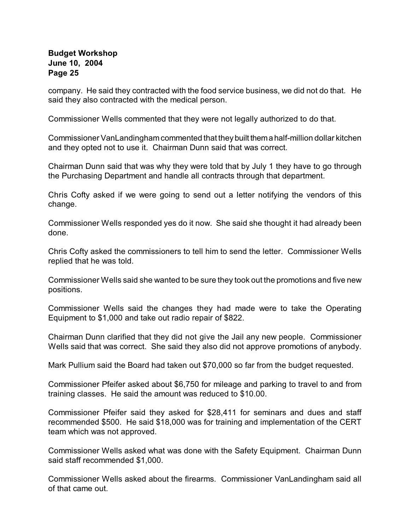company. He said they contracted with the food service business, we did not do that. He said they also contracted with the medical person.

Commissioner Wells commented that they were not legally authorized to do that.

Commissioner VanLandingham commented that they built them a half-million dollar kitchen and they opted not to use it. Chairman Dunn said that was correct.

Chairman Dunn said that was why they were told that by July 1 they have to go through the Purchasing Department and handle all contracts through that department.

Chris Cofty asked if we were going to send out a letter notifying the vendors of this change.

Commissioner Wells responded yes do it now. She said she thought it had already been done.

Chris Cofty asked the commissioners to tell him to send the letter. Commissioner Wells replied that he was told.

Commissioner Wells said she wanted to be sure they took out the promotions and five new positions.

Commissioner Wells said the changes they had made were to take the Operating Equipment to \$1,000 and take out radio repair of \$822.

Chairman Dunn clarified that they did not give the Jail any new people. Commissioner Wells said that was correct. She said they also did not approve promotions of anybody.

Mark Pullium said the Board had taken out \$70,000 so far from the budget requested.

Commissioner Pfeifer asked about \$6,750 for mileage and parking to travel to and from training classes. He said the amount was reduced to \$10.00.

Commissioner Pfeifer said they asked for \$28,411 for seminars and dues and staff recommended \$500. He said \$18,000 was for training and implementation of the CERT team which was not approved.

Commissioner Wells asked what was done with the Safety Equipment. Chairman Dunn said staff recommended \$1,000.

Commissioner Wells asked about the firearms. Commissioner VanLandingham said all of that came out.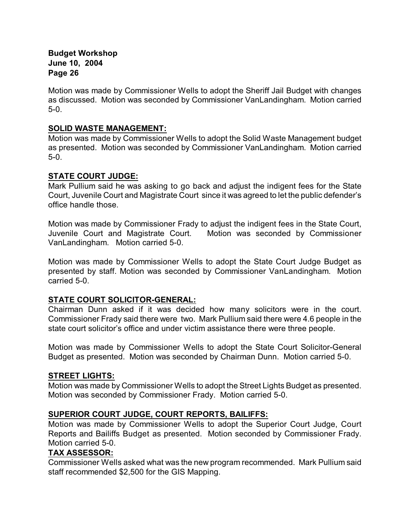Motion was made by Commissioner Wells to adopt the Sheriff Jail Budget with changes as discussed. Motion was seconded by Commissioner VanLandingham. Motion carried 5-0.

## **SOLID WASTE MANAGEMENT:**

Motion was made by Commissioner Wells to adopt the Solid Waste Management budget as presented. Motion was seconded by Commissioner VanLandingham. Motion carried 5-0.

## **STATE COURT JUDGE:**

Mark Pullium said he was asking to go back and adjust the indigent fees for the State Court, Juvenile Court and Magistrate Court since it was agreed to let the public defender's office handle those.

Motion was made by Commissioner Frady to adjust the indigent fees in the State Court, Juvenile Court and Magistrate Court. Motion was seconded by Commissioner VanLandingham. Motion carried 5-0.

Motion was made by Commissioner Wells to adopt the State Court Judge Budget as presented by staff. Motion was seconded by Commissioner VanLandingham. Motion carried 5-0.

# **STATE COURT SOLICITOR-GENERAL:**

Chairman Dunn asked if it was decided how many solicitors were in the court. Commissioner Frady said there were two. Mark Pullium said there were 4.6 people in the state court solicitor's office and under victim assistance there were three people.

Motion was made by Commissioner Wells to adopt the State Court Solicitor-General Budget as presented. Motion was seconded by Chairman Dunn. Motion carried 5-0.

## **STREET LIGHTS:**

Motion was made by Commissioner Wells to adopt the Street Lights Budget as presented. Motion was seconded by Commissioner Frady. Motion carried 5-0.

## **SUPERIOR COURT JUDGE, COURT REPORTS, BAILIFFS:**

Motion was made by Commissioner Wells to adopt the Superior Court Judge, Court Reports and Bailiffs Budget as presented. Motion seconded by Commissioner Frady. Motion carried 5-0.

## **TAX ASSESSOR:**

Commissioner Wells asked what was the new program recommended. Mark Pullium said staff recommended \$2,500 for the GIS Mapping.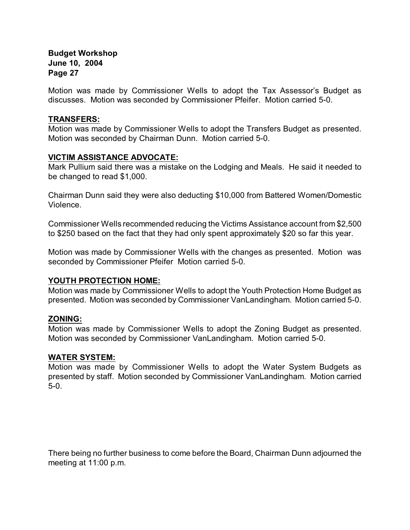Motion was made by Commissioner Wells to adopt the Tax Assessor's Budget as discusses. Motion was seconded by Commissioner Pfeifer. Motion carried 5-0.

#### **TRANSFERS:**

Motion was made by Commissioner Wells to adopt the Transfers Budget as presented. Motion was seconded by Chairman Dunn. Motion carried 5-0.

## **VICTIM ASSISTANCE ADVOCATE:**

Mark Pullium said there was a mistake on the Lodging and Meals. He said it needed to be changed to read \$1,000.

Chairman Dunn said they were also deducting \$10,000 from Battered Women/Domestic Violence.

Commissioner Wells recommended reducing the Victims Assistance account from \$2,500 to \$250 based on the fact that they had only spent approximately \$20 so far this year.

Motion was made by Commissioner Wells with the changes as presented. Motion was seconded by Commissioner Pfeifer Motion carried 5-0.

## **YOUTH PROTECTION HOME:**

Motion was made by Commissioner Wells to adopt the Youth Protection Home Budget as presented. Motion was seconded by Commissioner VanLandingham. Motion carried 5-0.

## **ZONING:**

Motion was made by Commissioner Wells to adopt the Zoning Budget as presented. Motion was seconded by Commissioner VanLandingham. Motion carried 5-0.

#### **WATER SYSTEM:**

Motion was made by Commissioner Wells to adopt the Water System Budgets as presented by staff. Motion seconded by Commissioner VanLandingham. Motion carried 5-0.

There being no further business to come before the Board, Chairman Dunn adjourned the meeting at 11:00 p.m.